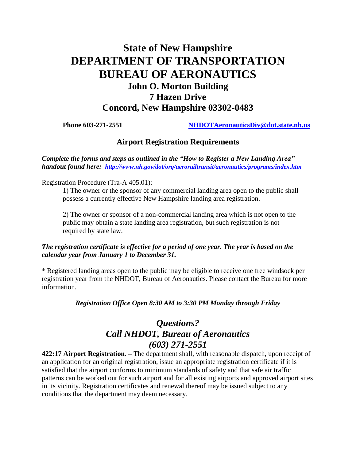# **State of New Hampshire DEPARTMENT OF TRANSPORTATION BUREAU OF AERONAUTICS John O. Morton Building 7 Hazen Drive Concord, New Hampshire 03302-0483**

**Phone 603-271-2551 [NHDOTAeronauticsDiv@dot.state.nh.us](mailto:NHDOTAeronauticsDiv@dot.state.nh.us)**

### **Airport Registration Requirements**

*Complete the forms and steps as outlined in the "How to Register a New Landing Area" handout found here: <http://www.nh.gov/dot/org/aerorailtransit/aeronautics/programs/index.htm>*

Registration Procedure (Tra-A 405.01):

1) The owner or the sponsor of any commercial landing area open to the public shall possess a currently effective New Hampshire landing area registration.

2) The owner or sponsor of a non-commercial landing area which is not open to the public may obtain a state landing area registration, but such registration is not required by state law.

#### *The registration certificate is effective for a period of one year. The year is based on the calendar year from January 1 to December 31.*

\* Registered landing areas open to the public may be eligible to receive one free windsock per registration year from the NHDOT, Bureau of Aeronautics. Please contact the Bureau for more information.

#### *Registration Office Open 8:30 AM to 3:30 PM Monday through Friday*

## *Questions? Call NHDOT, Bureau of Aeronautics (603) 271-2551*

**422:17 Airport Registration. –** The department shall, with reasonable dispatch, upon receipt of an application for an original registration, issue an appropriate registration certificate if it is satisfied that the airport conforms to minimum standards of safety and that safe air traffic patterns can be worked out for such airport and for all existing airports and approved airport sites in its vicinity. Registration certificates and renewal thereof may be issued subject to any conditions that the department may deem necessary.